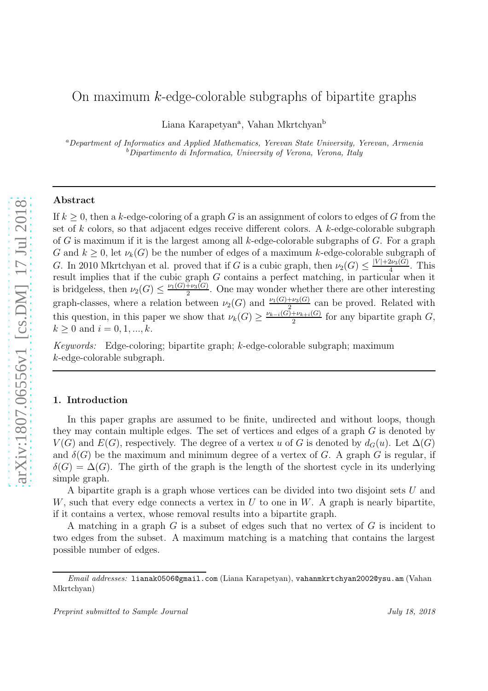# On maximum  $k$ -edge-colorable subgraphs of bipartite graphs

Liana Karapetyan<sup>a</sup>, Vahan Mkrtchyan<sup>b</sup>

<sup>a</sup>*Department of Informatics and Applied Mathematics, Yerevan State University, Yerevan, Armenia* <sup>b</sup>*Dipartimento di Informatica, University of Verona, Verona, Italy*

# Abstract

If  $k \geq 0$ , then a k-edge-coloring of a graph G is an assignment of colors to edges of G from the set of  $k$  colors, so that adjacent edges receive different colors. A  $k$ -edge-colorable subgraph of G is maximum if it is the largest among all k-edge-colorable subgraphs of G. For a graph G and  $k \geq 0$ , let  $\nu_k(G)$  be the number of edges of a maximum k-edge-colorable subgraph of G. In 2010 Mkrtchyan et al. proved that if G is a cubic graph, then  $\nu_2(G) \leq \frac{|V| + 2\nu_3(G)}{4}$  $rac{2\nu_3(G)}{4}$ . This result implies that if the cubic graph G contains a perfect matching, in particular when it is bridgeless, then  $\nu_2(G) \leq \frac{\nu_1(G) + \nu_3(G)}{2}$  $\frac{1+\nu_3(G)}{2}$ . One may wonder whether there are other interesting graph-classes, where a relation between  $\nu_2(G)$  and  $\nu_1(G)+\nu_3(G)$  can be proved. Related with this question, in this paper we show that  $\nu_k(G) \geq \frac{\nu_{k-i}(G) + \nu_{k+i}(G)}{2}$  $\frac{P_{k+i}(G)}{2}$  for any bipartite graph  $G$ ,  $k > 0$  and  $i = 0, 1, ..., k$ .

*Keywords:* Edge-coloring; bipartite graph; k-edge-colorable subgraph; maximum k-edge-colorable subgraph.

## 1. Introduction

In this paper graphs are assumed to be finite, undirected and without loops, though they may contain multiple edges. The set of vertices and edges of a graph G is denoted by  $V(G)$  and  $E(G)$ , respectively. The degree of a vertex u of G is denoted by  $d_G(u)$ . Let  $\Delta(G)$ and  $\delta(G)$  be the maximum and minimum degree of a vertex of G. A graph G is regular, if  $\delta(G) = \Delta(G)$ . The girth of the graph is the length of the shortest cycle in its underlying simple graph.

A bipartite graph is a graph whose vertices can be divided into two disjoint sets U and W, such that every edge connects a vertex in  $U$  to one in  $W$ . A graph is nearly bipartite, if it contains a vertex, whose removal results into a bipartite graph.

A matching in a graph  $G$  is a subset of edges such that no vertex of  $G$  is incident to two edges from the subset. A maximum matching is a matching that contains the largest possible number of edges.

*Email addresses:* lianak0506@gmail.com (Liana Karapetyan), vahanmkrtchyan2002@ysu.am (Vahan Mkrtchyan)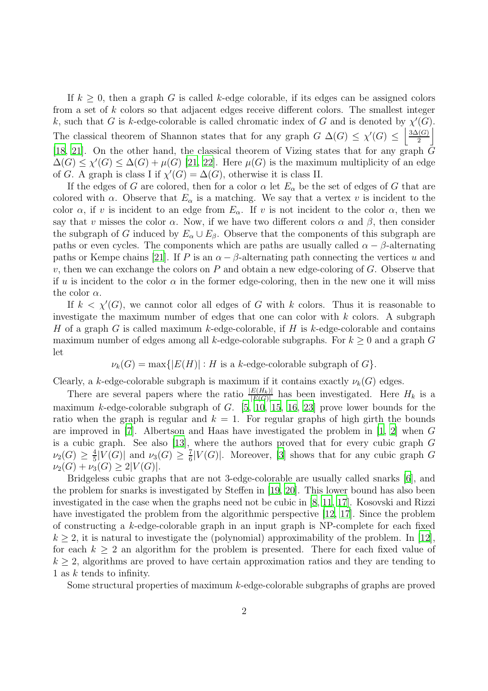If  $k \geq 0$ , then a graph G is called k-edge colorable, if its edges can be assigned colors from a set of k colors so that adjacent edges receive different colors. The smallest integer k, such that G is k-edge-colorable is called chromatic index of G and is denoted by  $\chi'(G)$ . The classical theorem of Shannon states that for any graph  $G \Delta(G) \leq \chi'(G) \leq \left| \frac{3\Delta(G)}{2} \right|$  $\frac{G}{2}$ [\[18,](#page-10-0) [21](#page-10-1)]. On the other hand, the classical theorem of Vizing states that for any graph  $\bar{G}$  $\Delta(G) \leq \chi'(G) \leq \Delta(G) + \mu(G)$  [\[21,](#page-10-1) [22\]](#page-10-2). Here  $\mu(G)$  is the maximum multiplicity of an edge of G. A graph is class I if  $\chi'(G) = \Delta(G)$ , otherwise it is class II.

If the edges of G are colored, then for a color  $\alpha$  let  $E_{\alpha}$  be the set of edges of G that are colored with  $\alpha$ . Observe that  $E_{\alpha}$  is a matching. We say that a vertex v is incident to the color  $\alpha$ , if v is incident to an edge from  $E_{\alpha}$ . If v is not incident to the color  $\alpha$ , then we say that v misses the color  $\alpha$ . Now, if we have two different colors  $\alpha$  and  $\beta$ , then consider the subgraph of G induced by  $E_{\alpha} \cup E_{\beta}$ . Observe that the components of this subgraph are paths or even cycles. The components which are paths are usually called  $\alpha - \beta$ -alternating paths or Kempe chains [\[21\]](#page-10-1). If P is an  $\alpha - \beta$ -alternating path connecting the vertices u and v, then we can exchange the colors on  $P$  and obtain a new edge-coloring of  $G$ . Observe that if u is incident to the color  $\alpha$  in the former edge-coloring, then in the new one it will miss the color  $\alpha$ .

If  $k < \chi'(G)$ , we cannot color all edges of G with k colors. Thus it is reasonable to investigate the maximum number of edges that one can color with  $k$  colors. A subgraph H of a graph G is called maximum k-edge-colorable, if H is k-edge-colorable and contains maximum number of edges among all k-edge-colorable subgraphs. For  $k \geq 0$  and a graph G let

$$
\nu_k(G) = \max\{|E(H)| : H \text{ is a } k\text{-edge-colorable subgraph of } G\}.
$$

Clearly, a k-edge-colorable subgraph is maximum if it contains exactly  $\nu_k(G)$  edges.

There are several papers where the ratio  $\frac{|E(H_k)|}{|E(G)|}$  has been investigated. Here  $H_k$  is a maximum k-edge-colorable subgraph of  $G.$  [\[5,](#page-9-0) [10,](#page-9-1) [15,](#page-10-3) [16](#page-10-4), [23](#page-10-5)] prove lower bounds for the ratio when the graph is regular and  $k = 1$ . For regular graphs of high girth the bounds are improved in [\[7\]](#page-9-2). Albertson and Haas have investigated the problem in  $[1, 2]$  $[1, 2]$  $[1, 2]$  when G is a cubic graph. See also [\[13\]](#page-10-6), where the authors proved that for every cubic graph G  $\nu_2(G) \geq \frac{4}{5}$  $\frac{4}{5}|V(G)|$  and  $\nu_3(G) \geq \frac{7}{6}$  $\frac{7}{6}$ [V(G)]. Moreover, [\[3\]](#page-9-5) shows that for any cubic graph G  $\nu_2(G) + \nu_3(G) \geq 2|V(G)|$ .

Bridgeless cubic graphs that are not 3-edge-colorable are usually called snarks [\[6\]](#page-9-6), and the problem for snarks is investigated by Steffen in [\[19](#page-10-7), [20\]](#page-10-8). This lower bound has also been investigated in the case when the graphs need not be cubic in [\[8,](#page-9-7) [11,](#page-10-9) [17\]](#page-10-10). Kosovski and Rizzi have investigated the problem from the algorithmic perspective [\[12,](#page-10-11) [17\]](#page-10-10). Since the problem of constructing a k-edge-colorable graph in an input graph is NP-complete for each fixed  $k \geq 2$ , it is natural to investigate the (polynomial) approximability of the problem. In [\[12](#page-10-11)], for each  $k \geq 2$  an algorithm for the problem is presented. There for each fixed value of  $k \geq 2$ , algorithms are proved to have certain approximation ratios and they are tending to 1 as k tends to infinity.

Some structural properties of maximum k-edge-colorable subgraphs of graphs are proved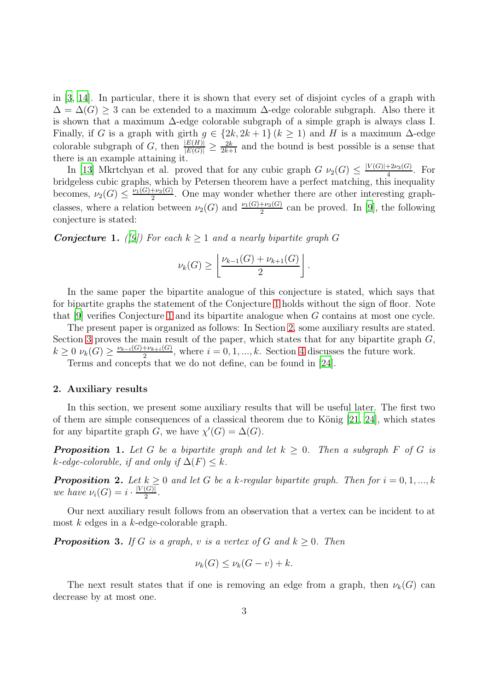in [\[3,](#page-9-5) [14](#page-10-12)]. In particular, there it is shown that every set of disjoint cycles of a graph with  $\Delta = \Delta(G) \geq 3$  can be extended to a maximum  $\Delta$ -edge colorable subgraph. Also there it is shown that a maximum ∆-edge colorable subgraph of a simple graph is always class I. Finally, if G is a graph with girth  $g \in \{2k, 2k+1\}$   $(k \geq 1)$  and H is a maximum  $\Delta$ -edge colorable subgraph of G, then  $\frac{|E(H)|}{|E(G)|} \ge \frac{2k}{2k+1}$  and the bound is best possible is a sense that there is an example attaining it.

In [\[13](#page-10-6)] Mkrtchyan et al. proved that for any cubic graph  $G \nu_2(G) \leq \frac{|V(G)| + 2\nu_3(G)}{4}$  $rac{+2\nu_3(G)}{4}$ . For bridgeless cubic graphs, which by Petersen theorem have a perfect matching, this inequality becomes,  $\nu_2(G) \leq \frac{\nu_1(G) + \nu_3(G)}{2}$  $\frac{1+\nu_3(G)}{2}$ . One may wonder whether there are other interesting graphclasses, where a relation between  $\nu_2(G)$  and  $\frac{\nu_1(G)+\nu_3(G)}{2}$  can be proved. In [\[9](#page-9-8)], the following conjecture is stated:

<span id="page-2-0"></span>**Conjecture 1.** *([\[9](#page-9-8)]*) For each  $k \geq 1$  *and a nearly bipartite graph* G

$$
\nu_k(G) \ge \left\lfloor \frac{\nu_{k-1}(G) + \nu_{k+1}(G)}{2} \right\rfloor.
$$

In the same paper the bipartite analogue of this conjecture is stated, which says that for bipartite graphs the statement of the Conjecture [1](#page-2-0) holds without the sign of floor. Note that [\[9\]](#page-9-8) verifies Conjecture [1](#page-2-0) and its bipartite analogue when G contains at most one cycle.

The present paper is organized as follows: In Section [2,](#page-2-1) some auxiliary results are stated. Section [3](#page-5-0) proves the main result of the paper, which states that for any bipartite graph  $G$ ,  $k \geq 0 \nu_k(G) \geq \frac{\nu_{k-i}(G) + \nu_{k+i}(G)}{2}$  $\frac{1+\nu_{k+i}(\mathbf{G})}{2}$ , where  $i=0,1,...,k$ . Section [4](#page-9-9) discusses the future work.

Terms and concepts that we do not define, can be found in [\[24\]](#page-10-13).

#### <span id="page-2-1"></span>2. Auxiliary results

In this section, we present some auxiliary results that will be useful later. The first two of them are simple consequences of a classical theorem due to König  $[21, 24]$  $[21, 24]$ , which states for any bipartite graph G, we have  $\chi'(G) = \Delta(G)$ .

<span id="page-2-2"></span>**Proposition 1.** Let G be a bipartite graph and let  $k \geq 0$ . Then a subgraph F of G is  $k$ -edge-colorable, if and only if  $\Delta(F) \leq k$ .

<span id="page-2-3"></span>**Proposition 2.** Let  $k \geq 0$  and let G be a k-regular bipartite graph. Then for  $i = 0, 1, ..., k$ *we have*  $\nu_i(G) = i \cdot \frac{|V(G)|}{2}$  $\frac{(G)}{2}$ .

Our next auxiliary result follows from an observation that a vertex can be incident to at most  $k$  edges in a  $k$ -edge-colorable graph.

<span id="page-2-4"></span>**Proposition 3.** If G is a graph, v is a vertex of G and  $k \geq 0$ . Then

$$
\nu_k(G) \le \nu_k(G - v) + k.
$$

The next result states that if one is removing an edge from a graph, then  $\nu_k(G)$  can decrease by at most one.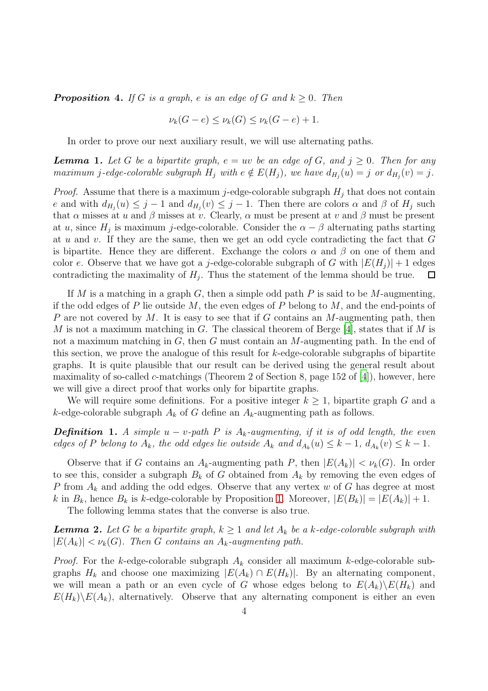<span id="page-3-1"></span>**Proposition 4.** If G is a graph, e is an edge of G and  $k \geq 0$ . Then

$$
\nu_k(G-e) \le \nu_k(G) \le \nu_k(G-e) + 1.
$$

In order to prove our next auxiliary result, we will use alternating paths.

<span id="page-3-2"></span>**Lemma 1.** Let G be a bipartite graph,  $e = uv$  be an edge of G, and  $j \geq 0$ . Then for any *maximum* j-edge-colorable subgraph  $H_j$  with  $e \notin E(H_j)$ , we have  $d_{H_j}(u) = j$  or  $d_{H_j}(v) = j$ .

*Proof.* Assume that there is a maximum j-edge-colorable subgraph  $H_j$  that does not contain e and with  $d_{H_j}(u) \leq j-1$  and  $d_{H_j}(v) \leq j-1$ . Then there are colors  $\alpha$  and  $\beta$  of  $H_j$  such that  $\alpha$  misses at u and  $\beta$  misses at v. Clearly,  $\alpha$  must be present at v and  $\beta$  must be present at u, since  $H_j$  is maximum j-edge-colorable. Consider the  $\alpha - \beta$  alternating paths starting at u and v. If they are the same, then we get an odd cycle contradicting the fact that  $G$ is bipartite. Hence they are different. Exchange the colors  $\alpha$  and  $\beta$  on one of them and color e. Observe that we have got a j-edge-colorable subgraph of G with  $|E(H_i)| + 1$  edges contradicting the maximality of  $H_j$ . Thus the statement of the lemma should be true.  $\Box$ 

If M is a matching in a graph G, then a simple odd path P is said to be M-augmenting, if the odd edges of P lie outside M, the even edges of P belong to M, and the end-points of P are not covered by  $M$ . It is easy to see that if  $G$  contains an  $M$ -augmenting path, then M is not a maximum matching in G. The classical theorem of Berge [\[4\]](#page-9-10), states that if M is not a maximum matching in  $G$ , then  $G$  must contain an  $M$ -augmenting path. In the end of this section, we prove the analogue of this result for k-edge-colorable subgraphs of bipartite graphs. It is quite plausible that our result can be derived using the general result about maximality of so-called c-matchings (Theorem 2 of Section 8, page 152 of [\[4](#page-9-10)]), however, here we will give a direct proof that works only for bipartite graphs.

We will require some definitions. For a positive integer  $k \geq 1$ , bipartite graph G and a k-edge-colorable subgraph  $A_k$  of G define an  $A_k$ -augmenting path as follows.

**Definition 1.** A simple  $u - v$ -path P is  $A_k$ -augmenting, if it is of odd length, the even *edges of* P *belong to*  $A_k$ *, the odd edges lie outside*  $A_k$  *and*  $d_{A_k}(u) \leq k - 1$ *,*  $d_{A_k}(v) \leq k - 1$ *.* 

Observe that if G contains an  $A_k$ -augmenting path P, then  $|E(A_k)| < \nu_k(G)$ . In order to see this, consider a subgraph  $B_k$  of G obtained from  $A_k$  by removing the even edges of P from  $A_k$  and adding the odd edges. Observe that any vertex w of G has degree at most k in  $B_k$ , hence  $B_k$  is k-edge-colorable by Proposition [1.](#page-2-2) Moreover,  $|E(B_k)| = |E(A_k)| + 1$ .

The following lemma states that the converse is also true.

<span id="page-3-0"></span>**Lemma 2.** Let G be a bipartite graph,  $k \geq 1$  and let  $A_k$  be a k-edge-colorable subgraph with  $|E(A_k)| < \nu_k(G)$ . Then G contains an  $A_k$ -augmenting path.

*Proof.* For the k-edge-colorable subgraph  $A_k$  consider all maximum k-edge-colorable subgraphs  $H_k$  and choose one maximizing  $|E(A_k) \cap E(H_k)|$ . By an alternating component, we will mean a path or an even cycle of G whose edges belong to  $E(A_k)\E(H_k)$  and  $E(H_k)\backslash E(A_k)$ , alternatively. Observe that any alternating component is either an even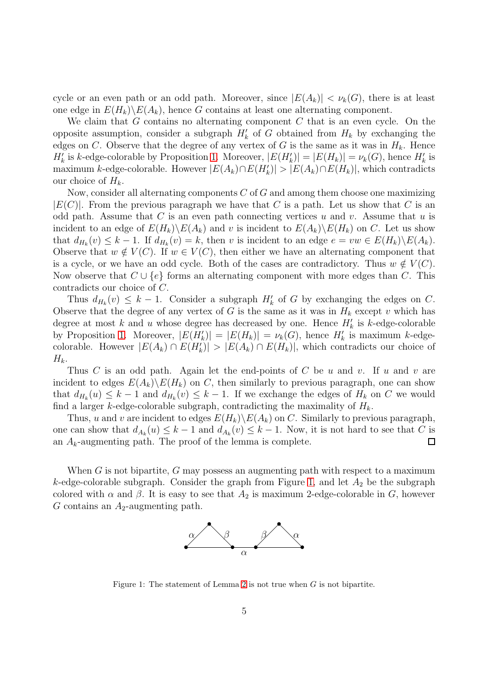cycle or an even path or an odd path. Moreover, since  $|E(A_k)| < \nu_k(G)$ , there is at least one edge in  $E(H_k)\backslash E(A_k)$ , hence G contains at least one alternating component.

We claim that  $G$  contains no alternating component  $C$  that is an even cycle. On the opposite assumption, consider a subgraph  $H'_{k}$  of G obtained from  $H_{k}$  by exchanging the edges on C. Observe that the degree of any vertex of G is the same as it was in  $H_k$ . Hence  $H'_{k}$  is k-edge-colorable by Proposition [1.](#page-2-2) Moreover,  $|E(H'_{k})| = |E(H_{k})| = \nu_{k}(G)$ , hence  $H'_{k}$  is maximum k-edge-colorable. However  $|E(A_k) \cap E(H'_k)| > |E(A_k) \cap E(H_k)|$ , which contradicts our choice of  $H_k$ .

Now, consider all alternating components C of G and among them choose one maximizing  $|E(C)|$ . From the previous paragraph we have that C is a path. Let us show that C is an odd path. Assume that C is an even path connecting vertices u and v. Assume that u is incident to an edge of  $E(H_k) \backslash E(A_k)$  and v is incident to  $E(A_k) \backslash E(H_k)$  on C. Let us show that  $d_{H_k}(v) \leq k-1$ . If  $d_{H_k}(v) = k$ , then v is incident to an edge  $e = vw \in E(H_k) \backslash E(A_k)$ . Observe that  $w \notin V(C)$ . If  $w \in V(C)$ , then either we have an alternating component that is a cycle, or we have an odd cycle. Both of the cases are contradictory. Thus  $w \notin V(C)$ . Now observe that  $C \cup \{e\}$  forms an alternating component with more edges than C. This contradicts our choice of C.

Thus  $d_{H_k}(v) \leq k-1$ . Consider a subgraph  $H'_k$  of G by exchanging the edges on C. Observe that the degree of any vertex of G is the same as it was in  $H_k$  except v which has degree at most k and u whose degree has decreased by one. Hence  $H'_{k}$  is k-edge-colorable by Proposition [1.](#page-2-2) Moreover,  $|E(H_k')| = |E(H_k)| = \nu_k(G)$ , hence  $H_k'$  is maximum k-edgecolorable. However  $|E(A_k) \cap E(H'_k)| > |E(A_k) \cap E(H_k)|$ , which contradicts our choice of  $H_k$ .

Thus C is an odd path. Again let the end-points of C be u and v. If u and v are incident to edges  $E(A_k) \backslash E(H_k)$  on C, then similarly to previous paragraph, one can show that  $d_{H_k}(u) \leq k-1$  and  $d_{H_k}(v) \leq k-1$ . If we exchange the edges of  $H_k$  on C we would find a larger k-edge-colorable subgraph, contradicting the maximality of  $H_k$ .

Thus, u and v are incident to edges  $E(H_k) \backslash E(A_k)$  on C. Similarly to previous paragraph, one can show that  $d_{A_k}(u) \leq k-1$  and  $d_{A_k}(v) \leq k-1$ . Now, it is not hard to see that C is an  $A_k$ -augmenting path. The proof of the lemma is complete.  $\Box$ 

When  $G$  is not bipartite,  $G$  may possess an augmenting path with respect to a maximum k-edge-colorable subgraph. Consider the graph from Figure [1,](#page-4-0) and let  $A_2$  be the subgraph colored with  $\alpha$  and  $\beta$ . It is easy to see that  $A_2$  is maximum 2-edge-colorable in G, however  $G$  contains an  $A_2$ -augmenting path.



<span id="page-4-0"></span>Figure 1: The statement of Lemma [2](#page-3-0) is not true when  $G$  is not bipartite.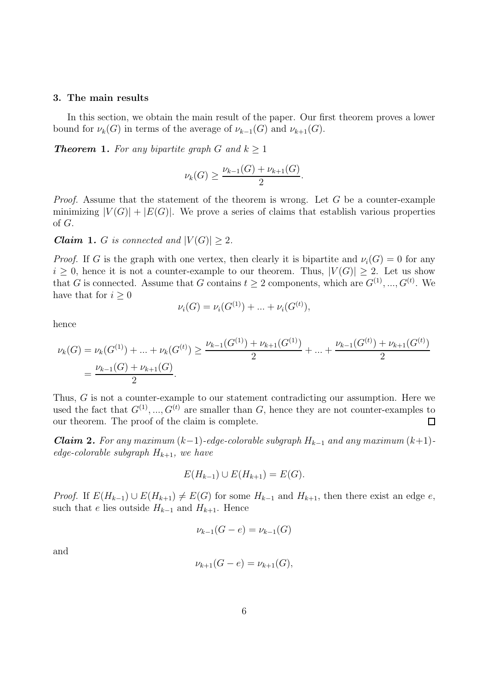## <span id="page-5-0"></span>3. The main results

In this section, we obtain the main result of the paper. Our first theorem proves a lower bound for  $\nu_k(G)$  in terms of the average of  $\nu_{k-1}(G)$  and  $\nu_{k+1}(G)$ .

<span id="page-5-3"></span>**Theorem 1.** For any bipartite graph G and  $k > 1$ 

$$
\nu_k(G) \ge \frac{\nu_{k-1}(G) + \nu_{k+1}(G)}{2}.
$$

*Proof.* Assume that the statement of the theorem is wrong. Let G be a counter-example minimizing  $|V(G)| + |E(G)|$ . We prove a series of claims that establish various properties of G.

<span id="page-5-2"></span>*Claim 1. G is connected and*  $|V(G)| \geq 2$ *.* 

*Proof.* If G is the graph with one vertex, then clearly it is bipartite and  $\nu_i(G) = 0$  for any  $i \geq 0$ , hence it is not a counter-example to our theorem. Thus,  $|V(G)| \geq 2$ . Let us show that G is connected. Assume that G contains  $t \geq 2$  components, which are  $G^{(1)}, ..., G^{(t)}$ . We have that for  $i \geq 0$ 

$$
\nu_i(G) = \nu_i(G^{(1)}) + \dots + \nu_i(G^{(t)}),
$$

hence

$$
\nu_k(G) = \nu_k(G^{(1)}) + \dots + \nu_k(G^{(t)}) \ge \frac{\nu_{k-1}(G^{(1)}) + \nu_{k+1}(G^{(1)})}{2} + \dots + \frac{\nu_{k-1}(G^{(t)}) + \nu_{k+1}(G^{(t)})}{2}
$$

$$
= \frac{\nu_{k-1}(G) + \nu_{k+1}(G)}{2}.
$$

Thus, G is not a counter-example to our statement contradicting our assumption. Here we used the fact that  $G^{(1)},...,G^{(t)}$  are smaller than G, hence they are not counter-examples to our theorem. The proof of the claim is complete.  $\Box$ 

<span id="page-5-1"></span>*Claim 2. For any maximum*  $(k-1)$ -edge-colorable subgraph  $H_{k-1}$  and any maximum  $(k+1)$ *edge-colorable subgraph*  $H_{k+1}$ *, we have* 

$$
E(H_{k-1}) \cup E(H_{k+1}) = E(G).
$$

*Proof.* If  $E(H_{k-1}) \cup E(H_{k+1}) \neq E(G)$  for some  $H_{k-1}$  and  $H_{k+1}$ , then there exist an edge e, such that e lies outside  $H_{k-1}$  and  $H_{k+1}$ . Hence

$$
\nu_{k-1}(G-e) = \nu_{k-1}(G)
$$

and

$$
\nu_{k+1}(G - e) = \nu_{k+1}(G),
$$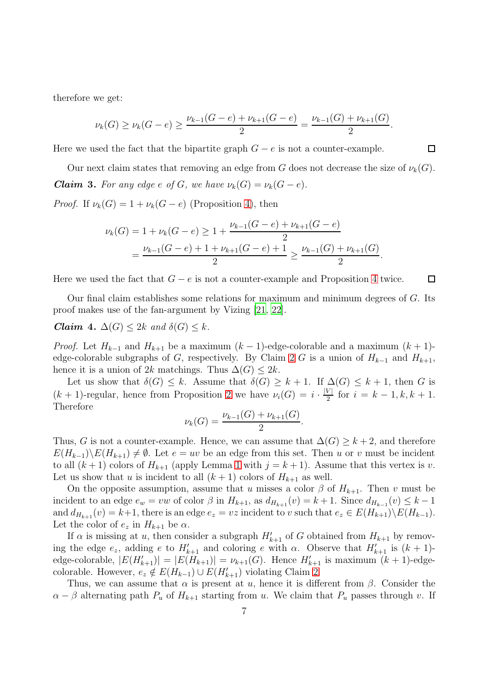therefore we get:

$$
\nu_k(G) \ge \nu_k(G-e) \ge \frac{\nu_{k-1}(G-e) + \nu_{k+1}(G-e)}{2} = \frac{\nu_{k-1}(G) + \nu_{k+1}(G)}{2}.
$$

Here we used the fact that the bipartite graph  $G - e$  is not a counter-example.

<span id="page-6-1"></span>Our next claim states that removing an edge from G does not decrease the size of  $\nu_k(G)$ . *Claim* 3. For any edge e of G, we have  $\nu_k(G) = \nu_k(G - e)$ .

*Proof.* If  $\nu_k(G) = 1 + \nu_k(G - e)$  (Proposition [4\)](#page-3-1), then

$$
\nu_k(G) = 1 + \nu_k(G - e) \ge 1 + \frac{\nu_{k-1}(G - e) + \nu_{k+1}(G - e)}{2}
$$
  
= 
$$
\frac{\nu_{k-1}(G - e) + 1 + \nu_{k+1}(G - e) + 1}{2} \ge \frac{\nu_{k-1}(G) + \nu_{k+1}(G)}{2}
$$

.

 $\Box$ 

Here we used the fact that  $G - e$  is not a counter-example and Proposition [4](#page-3-1) twice. □

Our final claim establishes some relations for maximum and minimum degrees of G. Its proof makes use of the fan-argument by Vizing [\[21](#page-10-1), [22\]](#page-10-2).

<span id="page-6-0"></span>*Claim* 4.  $\Delta(G) \leq 2k$  *and*  $\delta(G) \leq k$ .

*Proof.* Let  $H_{k-1}$  and  $H_{k+1}$  be a maximum  $(k-1)$ -edge-colorable and a maximum  $(k+1)$ -edge-colorable subgraphs of G, respectively. By Claim [2](#page-5-1) G is a union of  $H_{k-1}$  and  $H_{k+1}$ , hence it is a union of 2k matchings. Thus  $\Delta(G) \leq 2k$ .

Let us show that  $\delta(G) \leq k$ . Assume that  $\delta(G) \geq k + 1$ . If  $\Delta(G) \leq k + 1$ , then G is  $(k + 1)$ -regular, hence from Proposition [2](#page-2-3) we have  $\nu_i(G) = i \cdot \frac{|V|}{2}$  $\frac{v_1}{2}$  for  $i = k - 1, k, k + 1$ . Therefore

$$
\nu_k(G) = \frac{\nu_{k-1}(G) + \nu_{k+1}(G)}{2}.
$$

Thus, G is not a counter-example. Hence, we can assume that  $\Delta(G) \geq k+2$ , and therefore  $E(H_{k-1})\backslash E(H_{k+1}) \neq \emptyset$ . Let  $e = uv$  be an edge from this set. Then u or v must be incident to all  $(k+1)$  colors of  $H_{k+1}$  (apply Lemma [1](#page-3-2) with  $j = k+1$ ). Assume that this vertex is v. Let us show that u is incident to all  $(k + 1)$  colors of  $H_{k+1}$  as well.

On the opposite assumption, assume that u misses a color  $\beta$  of  $H_{k+1}$ . Then v must be incident to an edge  $e_w = vw$  of color  $\beta$  in  $H_{k+1}$ , as  $d_{H_{k+1}}(v) = k+1$ . Since  $d_{H_{k-1}}(v) \leq k-1$ and  $d_{H_{k+1}}(v) = k+1$ , there is an edge  $e_z = vz$  incident to v such that  $e_z \in E(H_{k+1})\backslash E(H_{k-1})$ . Let the color of  $e_z$  in  $H_{k+1}$  be  $\alpha$ .

If  $\alpha$  is missing at u, then consider a subgraph  $H'_{k+1}$  of G obtained from  $H_{k+1}$  by removing the edge  $e_z$ , adding e to  $H'_{k+1}$  and coloring e with  $\alpha$ . Observe that  $H'_{k+1}$  is  $(k+1)$ edge-colorable,  $|E(H'_{k+1})| = |E(H_{k+1})| = \nu_{k+1}(G)$ . Hence  $H'_{k+1}$  is maximum  $(k+1)$ -edgecolorable. However,  $e_z \notin E(H_{k-1}) \cup E(H'_{k+1})$  violating Claim [2.](#page-5-1)

Thus, we can assume that  $\alpha$  is present at u, hence it is different from  $\beta$ . Consider the  $\alpha - \beta$  alternating path  $P_u$  of  $H_{k+1}$  starting from u. We claim that  $P_u$  passes through v. If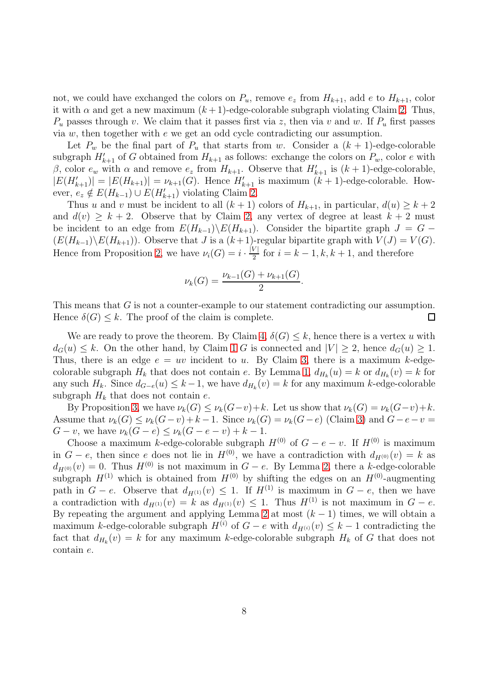not, we could have exchanged the colors on  $P_u$ , remove  $e_z$  from  $H_{k+1}$ , add e to  $H_{k+1}$ , color it with  $\alpha$  and get a new maximum  $(k+1)$ -edge-colorable subgraph violating Claim [2.](#page-5-1) Thus,  $P_u$  passes through v. We claim that it passes first via z, then via v and w. If  $P_u$  first passes via  $w$ , then together with  $e$  we get an odd cycle contradicting our assumption.

Let  $P_w$  be the final part of  $P_u$  that starts from w. Consider a  $(k + 1)$ -edge-colorable subgraph  $H'_{k+1}$  of G obtained from  $H_{k+1}$  as follows: exchange the colors on  $P_w$ , color e with β, color  $e_w$  with α and remove  $e_z$  from  $H_{k+1}$ . Observe that  $H'_{k+1}$  is  $(k+1)$ -edge-colorable,  $|E(H'_{k+1})| = |E(H_{k+1})| = \nu_{k+1}(G)$ . Hence  $H'_{k+1}$  is maximum  $(k+1)$ -edge-colorable. However,  $e_z \notin E(H_{k-1}) \cup E(H'_{k+1})$  violating Claim [2.](#page-5-1)

Thus u and v must be incident to all  $(k + 1)$  colors of  $H_{k+1}$ , in particular,  $d(u) \geq k + 2$ and  $d(v) \geq k+2$ . Observe that by Claim [2,](#page-5-1) any vertex of degree at least  $k+2$  must be incident to an edge from  $E(H_{k-1})\backslash E(H_{k+1})$ . Consider the bipartite graph  $J = G (E(H_{k-1})\backslash E(H_{k+1}))$ . Observe that J is a  $(k+1)$ -regular bipartite graph with  $V(J) = V(G)$ . Hence from Proposition [2,](#page-2-3) we have  $\nu_i(G) = i \cdot \frac{|V|}{2}$  $\frac{\nu_1}{2}$  for  $i = k - 1, k, k + 1$ , and therefore

$$
\nu_k(G) = \frac{\nu_{k-1}(G) + \nu_{k+1}(G)}{2}.
$$

This means that G is not a counter-example to our statement contradicting our assumption. Hence  $\delta(G) \leq k$ . The proof of the claim is complete.  $\Box$ 

We are ready to prove the theorem. By Claim [4,](#page-6-0)  $\delta(G) \leq k$ , hence there is a vertex u with  $d_G(u) \leq k$ . On the other hand, by Claim [1](#page-5-2) G is connected and  $|V| \geq 2$ , hence  $d_G(u) \geq 1$ . Thus, there is an edge  $e = uv$  incident to u. By Claim [3,](#page-6-1) there is a maximum k-edgecolorable subgraph  $H_k$  that does not contain e. By Lemma [1,](#page-3-2)  $d_{H_k}(u) = k$  or  $d_{H_k}(v) = k$  for any such  $H_k$ . Since  $d_{G-e}(u) \leq k-1$ , we have  $d_{H_k}(v) = k$  for any maximum k-edge-colorable subgraph  $H_k$  that does not contain  $e$ .

By Proposition [3,](#page-2-4) we have  $\nu_k(G) \leq \nu_k(G-v) + k$ . Let us show that  $\nu_k(G) = \nu_k(G-v) + k$ . Assume that  $\nu_k(G) \leq \nu_k(G-v) + k-1$ . Since  $\nu_k(G) = \nu_k(G-e)$  (Claim [3\)](#page-6-1) and  $G-e-v=$  $G - v$ , we have  $\nu_k(G - e) \leq \nu_k(G - e - v) + k - 1$ .

Choose a maximum k-edge-colorable subgraph  $H^{(0)}$  of  $G - e - v$ . If  $H^{(0)}$  is maximum in  $G - e$ , then since e does not lie in  $H^{(0)}$ , we have a contradiction with  $d_{H^{(0)}}(v) = k$  as  $d_{H^{(0)}}(v) = 0$ . Thus  $H^{(0)}$  is not maximum in  $G - e$ . By Lemma [2,](#page-3-0) there a k-edge-colorable subgraph  $H^{(1)}$  which is obtained from  $H^{(0)}$  by shifting the edges on an  $H^{(0)}$ -augmenting path in  $G - e$ . Observe that  $d_{H^{(1)}}(v) \leq 1$ . If  $H^{(1)}$  is maximum in  $G - e$ , then we have a contradiction with  $d_{H^{(1)}}(v) = k$  as  $d_{H^{(1)}}(v) \leq 1$ . Thus  $H^{(1)}$  is not maximum in  $G - e$ . By repeating the argument and applying Lemma [2](#page-3-0) at most  $(k-1)$  times, we will obtain a maximum k-edge-colorable subgraph  $H^{(i)}$  of  $G - e$  with  $d_{H^{(i)}}(v) \leq k - 1$  contradicting the fact that  $d_{H_k}(v) = k$  for any maximum k-edge-colorable subgraph  $H_k$  of G that does not contain e.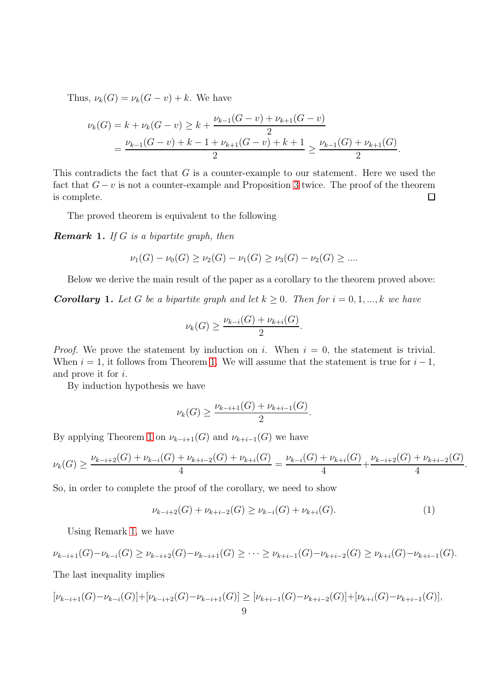Thus,  $\nu_k(G) = \nu_k(G - v) + k$ . We have

$$
\nu_k(G) = k + \nu_k(G - v) \ge k + \frac{\nu_{k-1}(G - v) + \nu_{k+1}(G - v)}{2}
$$
  
= 
$$
\frac{\nu_{k-1}(G - v) + k - 1 + \nu_{k+1}(G - v) + k + 1}{2} \ge \frac{\nu_{k-1}(G) + \nu_{k+1}(G)}{2}.
$$

This contradicts the fact that  $G$  is a counter-example to our statement. Here we used the fact that  $G - v$  is not a counter-example and Proposition [3](#page-2-4) twice. The proof of the theorem is complete.  $\Box$ 

The proved theorem is equivalent to the following

<span id="page-8-0"></span>Remark 1. *If* G *is a bipartite graph, then*

$$
\nu_1(G) - \nu_0(G) \ge \nu_2(G) - \nu_1(G) \ge \nu_3(G) - \nu_2(G) \ge \dots
$$

Below we derive the main result of the paper as a corollary to the theorem proved above:

<span id="page-8-2"></span>**Corollary 1.** Let G be a bipartite graph and let  $k \geq 0$ . Then for  $i = 0, 1, ..., k$  we have

$$
\nu_k(G) \ge \frac{\nu_{k-i}(G) + \nu_{k+i}(G)}{2}.
$$

*Proof.* We prove the statement by induction on i. When  $i = 0$ , the statement is trivial. When  $i = 1$ , it follows from Theorem [1.](#page-5-3) We will assume that the statement is true for  $i - 1$ , and prove it for i.

By induction hypothesis we have

$$
\nu_k(G) \ge \frac{\nu_{k-i+1}(G) + \nu_{k+i-1}(G)}{2}.
$$

By applying Theorem [1](#page-5-3) on  $\nu_{k-i+1}(G)$  and  $\nu_{k+i-1}(G)$  we have

$$
\nu_k(G) \ge \frac{\nu_{k-i+2}(G) + \nu_{k-i}(G) + \nu_{k+i-2}(G) + \nu_{k+i}(G)}{4} = \frac{\nu_{k-i}(G) + \nu_{k+i}(G)}{4} + \frac{\nu_{k-i+2}(G) + \nu_{k+i-2}(G)}{4}
$$

So, in order to complete the proof of the corollary, we need to show

<span id="page-8-1"></span>
$$
\nu_{k-i+2}(G) + \nu_{k+i-2}(G) \ge \nu_{k-i}(G) + \nu_{k+i}(G). \tag{1}
$$

.

Using Remark [1,](#page-8-0) we have

$$
\nu_{k-i+1}(G)-\nu_{k-i}(G) \geq \nu_{k-i+2}(G)-\nu_{k-i+1}(G) \geq \cdots \geq \nu_{k+i-1}(G)-\nu_{k+i-2}(G) \geq \nu_{k+i}(G)-\nu_{k+i-1}(G).
$$

The last inequality implies

$$
[\nu_{k-i+1}(G)-\nu_{k-i}(G)]+[\nu_{k-i+2}(G)-\nu_{k-i+1}(G)] \geq [\nu_{k+i-1}(G)-\nu_{k+i-2}(G)]+[\nu_{k+i}(G)-\nu_{k+i-1}(G)],
$$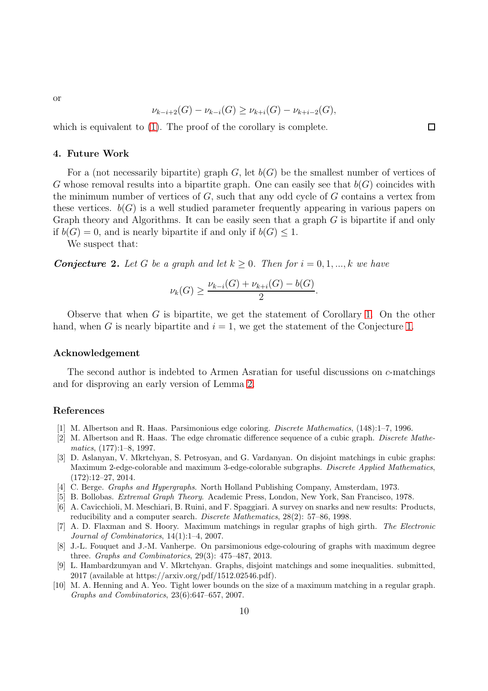or

$$
\nu_{k-i+2}(G) - \nu_{k-i}(G) \ge \nu_{k+i}(G) - \nu_{k+i-2}(G),
$$

which is equivalent to  $(1)$ . The proof of the corollary is complete.

### <span id="page-9-9"></span>4. Future Work

For a (not necessarily bipartite) graph  $G$ , let  $b(G)$  be the smallest number of vertices of G whose removal results into a bipartite graph. One can easily see that  $b(G)$  coincides with the minimum number of vertices of  $G$ , such that any odd cycle of  $G$  contains a vertex from these vertices.  $b(G)$  is a well studied parameter frequently appearing in various papers on Graph theory and Algorithms. It can be easily seen that a graph  $G$  is bipartite if and only if  $b(G) = 0$ , and is nearly bipartite if and only if  $b(G) \leq 1$ .

We suspect that:

**Conjecture 2.** Let G be a graph and let  $k \geq 0$ . Then for  $i = 0, 1, ..., k$  we have

$$
\nu_k(G) \ge \frac{\nu_{k-i}(G) + \nu_{k+i}(G) - b(G)}{2}.
$$

Observe that when G is bipartite, we get the statement of Corollary [1.](#page-8-2) On the other hand, when G is nearly bipartite and  $i = 1$ , we get the statement of the Conjecture [1.](#page-2-0)

### Acknowledgement

The second author is indebted to Armen Asratian for useful discussions on c-matchings and for disproving an early version of Lemma [2.](#page-3-0)

# References

- <span id="page-9-3"></span>[1] M. Albertson and R. Haas. Parsimonious edge coloring. *Discrete Mathematics*, (148):1–7, 1996.
- <span id="page-9-4"></span>[2] M. Albertson and R. Haas. The edge chromatic difference sequence of a cubic graph. *Discrete Mathematics*, (177):1–8, 1997.
- <span id="page-9-5"></span>[3] D. Aslanyan, V. Mkrtchyan, S. Petrosyan, and G. Vardanyan. On disjoint matchings in cubic graphs: Maximum 2-edge-colorable and maximum 3-edge-colorable subgraphs. *Discrete Applied Mathematics*, (172):12–27, 2014.
- <span id="page-9-10"></span>[4] C. Berge. *Graphs and Hypergraphs*. North Holland Publishing Company, Amsterdam, 1973.
- <span id="page-9-0"></span>[5] B. Bollobas. *Extremal Graph Theory*. Academic Press, London, New York, San Francisco, 1978.
- <span id="page-9-6"></span>[6] A. Cavicchioli, M. Meschiari, B. Ruini, and F. Spaggiari. A survey on snarks and new results: Products, reducibility and a computer search. *Discrete Mathematics*, 28(2): 57–86, 1998.
- <span id="page-9-2"></span>[7] A. D. Flaxman and S. Hoory. Maximum matchings in regular graphs of high girth. *The Electronic Journal of Combinatorics*, 14(1):1–4, 2007.
- <span id="page-9-7"></span>[8] J.-L. Fouquet and J.-M. Vanherpe. On parsimonious edge-colouring of graphs with maximum degree three. *Graphs and Combinatorics*, 29(3): 475–487, 2013.
- <span id="page-9-8"></span>[9] L. Hambardzumyan and V. Mkrtchyan. Graphs, disjoint matchings and some inequalities. submitted, 2017 (available at https://arxiv.org/pdf/1512.02546.pdf).
- <span id="page-9-1"></span>[10] M. A. Henning and A. Yeo. Tight lower bounds on the size of a maximum matching in a regular graph. *Graphs and Combinatorics*, 23(6):647–657, 2007.

 $\Box$